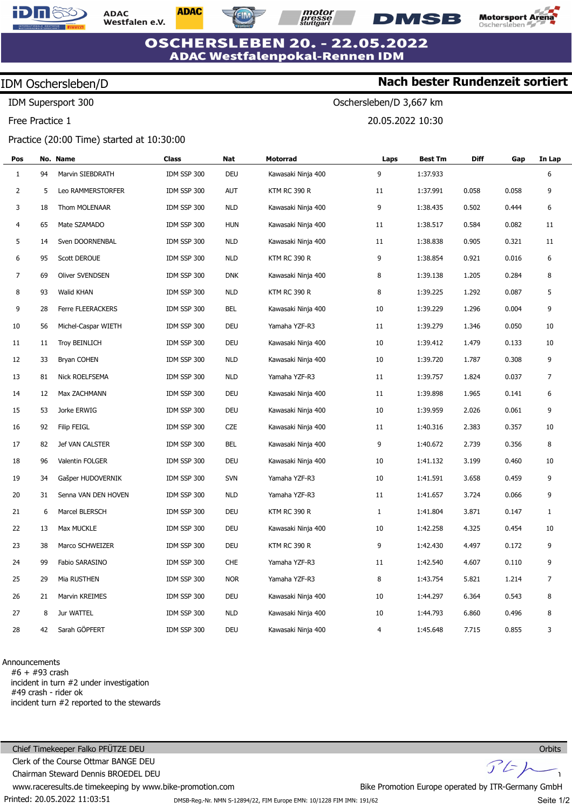

**ADAC** Westfalen e.V. **ADAC** 



Oschersleben/D 3,667 km

20.05.2022 10:30



**Nach bester Rundenzeit sortiert**

**OSCHERSLEBEN 20. - 22.05.2022 ADAC Westfalenpokal-Rennen IDM** 

## IDM Oschersleben/D

IDM Supersport 300

Free Practice 1

### Practice (20:00 Time) started at 10:30:00

| Pos            |    | No. Name               | Class       | Nat        | Motorrad            | Laps         | <b>Best Tm</b> | <b>Diff</b> | Gap   | In Lap         |
|----------------|----|------------------------|-------------|------------|---------------------|--------------|----------------|-------------|-------|----------------|
| $\mathbf{1}$   | 94 | Marvin SIEBDRATH       | IDM SSP 300 | DEU        | Kawasaki Ninja 400  | 9            | 1:37.933       |             |       | 6              |
| $\overline{2}$ | 5  | Leo RAMMERSTORFER      | IDM SSP 300 | <b>AUT</b> | <b>KTM RC 390 R</b> | 11           | 1:37.991       | 0.058       | 0.058 | 9              |
| 3              | 18 | Thom MOLENAAR          | IDM SSP 300 | <b>NLD</b> | Kawasaki Ninja 400  | 9            | 1:38.435       | 0.502       | 0.444 | 6              |
| 4              | 65 | Mate SZAMADO           | IDM SSP 300 | <b>HUN</b> | Kawasaki Ninja 400  | 11           | 1:38.517       | 0.584       | 0.082 | 11             |
| 5              | 14 | Sven DOORNENBAL        | IDM SSP 300 | <b>NLD</b> | Kawasaki Ninja 400  | 11           | 1:38.838       | 0.905       | 0.321 | 11             |
| 6              | 95 | Scott DEROUE           | IDM SSP 300 | NLD        | <b>KTM RC 390 R</b> | 9            | 1:38.854       | 0.921       | 0.016 | 6              |
| 7              | 69 | <b>Oliver SVENDSEN</b> | IDM SSP 300 | <b>DNK</b> | Kawasaki Ninja 400  | 8            | 1:39.138       | 1.205       | 0.284 | 8              |
| 8              | 93 | Walid KHAN             | IDM SSP 300 | NLD        | <b>KTM RC 390 R</b> | 8            | 1:39.225       | 1.292       | 0.087 | 5              |
| 9              | 28 | Ferre FLEERACKERS      | IDM SSP 300 | BEL        | Kawasaki Ninja 400  | 10           | 1:39.229       | 1.296       | 0.004 | 9              |
| 10             | 56 | Michel-Caspar WIETH    | IDM SSP 300 | DEU        | Yamaha YZF-R3       | 11           | 1:39.279       | 1.346       | 0.050 | 10             |
| 11             | 11 | <b>Troy BEINLICH</b>   | IDM SSP 300 | DEU        | Kawasaki Ninja 400  | 10           | 1:39.412       | 1.479       | 0.133 | 10             |
| 12             | 33 | Bryan COHEN            | IDM SSP 300 | <b>NLD</b> | Kawasaki Ninja 400  | 10           | 1:39.720       | 1.787       | 0.308 | 9              |
| 13             | 81 | Nick ROELFSEMA         | IDM SSP 300 | NLD        | Yamaha YZF-R3       | 11           | 1:39.757       | 1.824       | 0.037 | $\overline{7}$ |
| 14             | 12 | Max ZACHMANN           | IDM SSP 300 | DEU        | Kawasaki Ninja 400  | 11           | 1:39.898       | 1.965       | 0.141 | 6              |
| 15             | 53 | Jorke ERWIG            | IDM SSP 300 | DEU        | Kawasaki Ninja 400  | 10           | 1:39.959       | 2.026       | 0.061 | 9              |
| 16             | 92 | <b>Filip FEIGL</b>     | IDM SSP 300 | CZE        | Kawasaki Ninja 400  | 11           | 1:40.316       | 2.383       | 0.357 | 10             |
| 17             | 82 | Jef VAN CALSTER        | IDM SSP 300 | BEL        | Kawasaki Ninja 400  | 9            | 1:40.672       | 2.739       | 0.356 | 8              |
| 18             | 96 | Valentin FOLGER        | IDM SSP 300 | DEU        | Kawasaki Ninja 400  | 10           | 1:41.132       | 3.199       | 0.460 | 10             |
| 19             | 34 | Gašper HUDOVERNIK      | IDM SSP 300 | <b>SVN</b> | Yamaha YZF-R3       | 10           | 1:41.591       | 3.658       | 0.459 | 9              |
| 20             | 31 | Senna VAN DEN HOVEN    | IDM SSP 300 | NLD        | Yamaha YZF-R3       | 11           | 1:41.657       | 3.724       | 0.066 | 9              |
| 21             | 6  | Marcel BLERSCH         | IDM SSP 300 | DEU        | KTM RC 390 R        | $\mathbf{1}$ | 1:41.804       | 3.871       | 0.147 | 1              |
| 22             | 13 | Max MUCKLE             | IDM SSP 300 | DEU        | Kawasaki Ninja 400  | 10           | 1:42.258       | 4.325       | 0.454 | 10             |
| 23             | 38 | Marco SCHWEIZER        | IDM SSP 300 | DEU        | <b>KTM RC 390 R</b> | 9            | 1:42.430       | 4.497       | 0.172 | 9              |
| 24             | 99 | Fabio SARASINO         | IDM SSP 300 | <b>CHE</b> | Yamaha YZF-R3       | 11           | 1:42.540       | 4.607       | 0.110 | 9              |
| 25             | 29 | Mia RUSTHEN            | IDM SSP 300 | <b>NOR</b> | Yamaha YZF-R3       | 8            | 1:43.754       | 5.821       | 1.214 | $\overline{7}$ |
| 26             | 21 | Marvin KREIMES         | IDM SSP 300 | DEU        | Kawasaki Ninja 400  | 10           | 1:44.297       | 6.364       | 0.543 | 8              |
| 27             | 8  | Jur WATTEL             | IDM SSP 300 | <b>NLD</b> | Kawasaki Ninja 400  | 10           | 1:44.793       | 6.860       | 0.496 | 8              |
| 28             | 42 | Sarah GÖPFERT          | IDM SSP 300 | DEU        | Kawasaki Ninja 400  | 4            | 1:45.648       | 7.715       | 0.855 | 3              |

### Announcements

#6 + #93 crash incident in turn #2 under investigation #49 crash - rider ok incident turn #2 reported to the stewards

Printed: 20.05.2022 11:03:51 Chief Timekeeper Falko PFÜTZE DEU Clerk of the Course Ottmar BANGE DEU Chairman Steward Dennis BROEDEL DEU www.raceresults.de timekeeping by www.bike-promotion.com **Orbits**  $J'$ Bike Promotion Europe operated by ITR-Germany GmbH

DMSB-Reg.-Nr. NMN S-12894/22, FIM Europe EMN: 10/1228 FIM IMN: 191/62

Seite 1/2